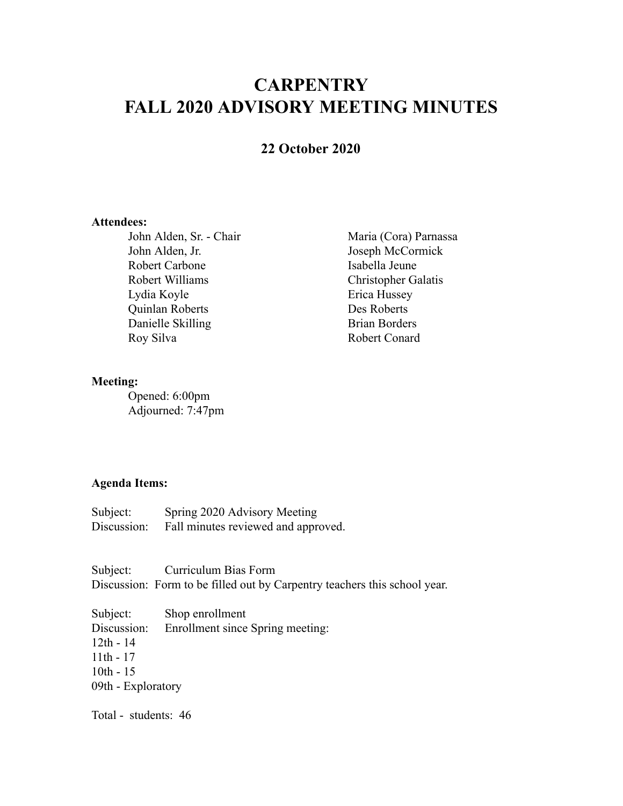# **CARPENTRY FALL 2020 ADVISORY MEETING MINUTES**

# **22 October 2020**

### **Attendees:**

John Alden, Sr. - Chair Maria (Cora) Parnassa John Alden, Jr. Joseph McCormick Robert Carbone Isabella Jeune Robert Williams Christopher Galatis Lydia Koyle Erica Hussey Quinlan Roberts Des Roberts Danielle Skilling Brian Borders Roy Silva Robert Conard

#### **Meeting:**

Opened: 6:00pm Adjourned: 7:47pm

## **Agenda Items:**

| Subject:    | Spring 2020 Advisory Meeting        |
|-------------|-------------------------------------|
| Discussion: | Fall minutes reviewed and approved. |

Subject: Curriculum Bias Form Discussion: Form to be filled out by Carpentry teachers this school year.

Subject: Shop enrollment Discussion: Enrollment since Spring meeting: 12th - 14 11th - 17 10th - 15 09th - Exploratory

Total - students: 46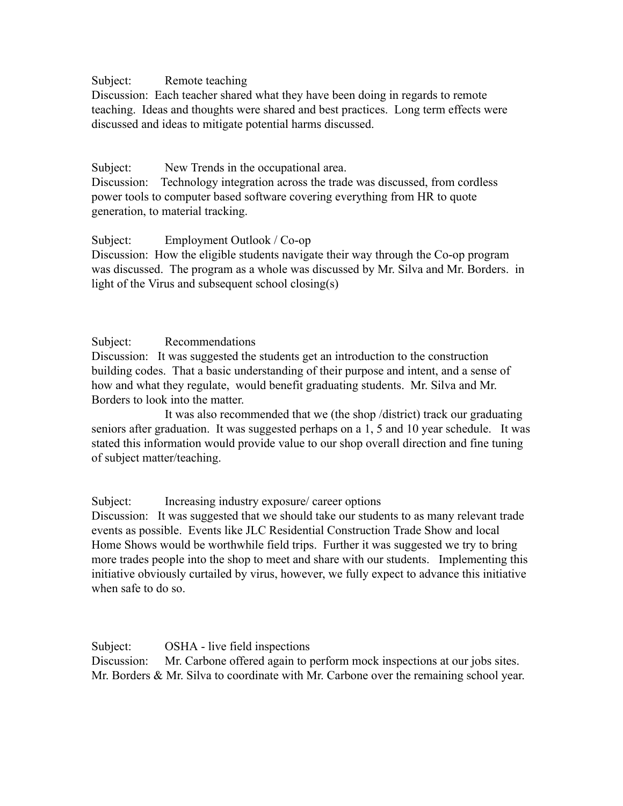## Subject: Remote teaching

Discussion: Each teacher shared what they have been doing in regards to remote teaching. Ideas and thoughts were shared and best practices. Long term effects were discussed and ideas to mitigate potential harms discussed.

## Subject: New Trends in the occupational area.

Discussion: Technology integration across the trade was discussed, from cordless power tools to computer based software covering everything from HR to quote generation, to material tracking.

## Subject: Employment Outlook / Co-op

Discussion: How the eligible students navigate their way through the Co-op program was discussed. The program as a whole was discussed by Mr. Silva and Mr. Borders. in light of the Virus and subsequent school closing(s)

## Subject: Recommendations

Discussion: It was suggested the students get an introduction to the construction building codes. That a basic understanding of their purpose and intent, and a sense of how and what they regulate, would benefit graduating students. Mr. Silva and Mr. Borders to look into the matter.

It was also recommended that we (the shop /district) track our graduating seniors after graduation. It was suggested perhaps on a 1, 5 and 10 year schedule. It was stated this information would provide value to our shop overall direction and fine tuning of subject matter/teaching.

Subject: Increasing industry exposure/ career options

Discussion: It was suggested that we should take our students to as many relevant trade events as possible. Events like JLC Residential Construction Trade Show and local Home Shows would be worthwhile field trips. Further it was suggested we try to bring more trades people into the shop to meet and share with our students. Implementing this initiative obviously curtailed by virus, however, we fully expect to advance this initiative when safe to do so.

Subject: OSHA - live field inspections Discussion: Mr. Carbone offered again to perform mock inspections at our jobs sites. Mr. Borders & Mr. Silva to coordinate with Mr. Carbone over the remaining school year.